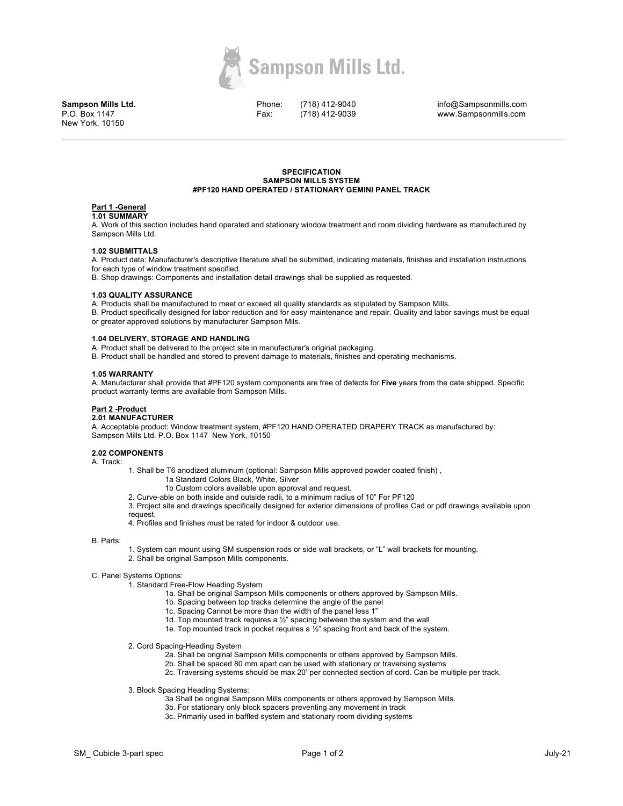

**Sampson Mills Ltd.** P.O. Box 1147 New York, 10150

Phone: Fax:

(718) 412-9040 (718) 412-9039

info@Sampsonmills.com www.Sampsonmills.com

#### **SPECIFICATION SAMPSON MILLS SYSTEM #PF120 HAND OPERATED / STATIONARY GEMINI PANEL TRACK**

#### **Part 1 -General 1.01 SUMMARY**

A. Work of this section includes hand operated and stationary window treatment and room dividing hardware as manufactured by Sampson Mills Ltd.

## **1.02 SUBMITTALS**

A. Product data: Manufacturer's descriptive literature shall be submitted, indicating materials, finishes and installation instructions for each type of window treatment specified.

B. Shop drawings: Components and installation detail drawings shall be supplied as requested.

## **1.03 QUALITY ASSURANCE**

A. Products shall be manufactured to meet or exceed all quality standards as stipulated by Sampson Mills.

B. Product specifically designed for labor reduction and for easy maintenance and repair. Quality and labor savings must be equal or greater approved solutions by manufacturer Sampson Mils.

## **1.04 DELIVERY, STORAGE AND HANDLING**

A. Product shall be delivered to the project site in manufacturer's original packaging.

B. Product shall be handled and stored to prevent damage to materials, finishes and operating mechanisms.

## **1.05 WARRANTY**

A. Manufacturer shall provide that #PF120 system components are free of defects for **Five** years from the date shipped. Specific product warranty terms are available from Sampson Mills.

# **Part 2 -Product**

## **2.01 MANUFACTURER**

A. Acceptable product: Window treatment system, #PF120 HAND OPERATED DRAPERY TRACK as manufactured by: Sampson Mills Ltd. P.O. Box 1147 New York, 10150

## **2.02 COMPONENTS**

A. Track:

1. Shall be T6 anodized aluminum (optional: Sampson Mills approved powder coated finish) ,

- 1a Standard Colors Black, White, Silver
- 1b Custom colors available upon approval and request.

2. Curve-able on both inside and outside radii, to a minimum radius of 10" For PF120

3. Project site and drawings specifically designed for exterior dimensions of profiles Cad or pdf drawings available upon request.

4. Profiles and finishes must be rated for indoor & outdoor use.

## B. Parts:

- 1. System can mount using SM suspension rods or side wall brackets, or "L" wall brackets for mounting.
- 2. Shall be original Sampson Mills components.

## C. Panel Systems Options:

1. Standard Free-Flow Heading System

- 1a. Shall be original Sampson Mills components or others approved by Sampson Mills.
- 1b. Spacing between top tracks determine the angle of the panel
- 1c. Spacing Cannot be more than the width of the panel less 1"
- 1d. Top mounted track requires a ½" spacing between the system and the wall
- 1e. Top mounted track in pocket requires a ½" spacing front and back of the system.

2. Cord Spacing-Heading System

- 2a. Shall be original Sampson Mills components or others approved by Sampson Mills.
- 2b. Shall be spaced 80 mm apart can be used with stationary or traversing systems
- 2c. Traversing systems should be max 20' per connected section of cord. Can be multiple per track.
- 3. Block Spacing Heading Systems:
	- 3a Shall be original Sampson Mills components or others approved by Sampson Mills.
	- 3b. For stationary only block spacers preventing any movement in track
	- 3c. Primarily used in baffled system and stationary room dividing systems